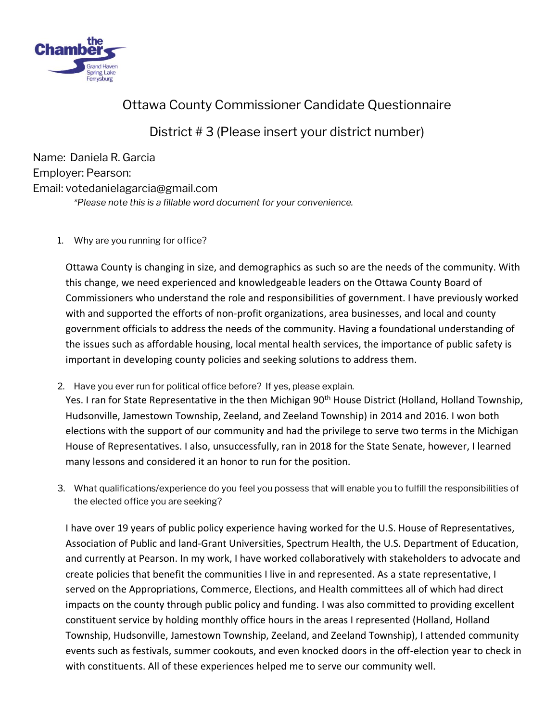

# Ottawa County Commissioner Candidate Questionnaire

## District # 3 (Please insert your district number)

Name: Daniela R. Garcia Employer: Pearson: Email: votedanielagarcia@gmail.com *\*Please note this is a fillable word document for your convenience.* 

1. Why are you running for office?

Ottawa County is changing in size, and demographics as such so are the needs of the community. With this change, we need experienced and knowledgeable leaders on the Ottawa County Board of Commissioners who understand the role and responsibilities of government. I have previously worked with and supported the efforts of non-profit organizations, area businesses, and local and county government officials to address the needs of the community. Having a foundational understanding of the issues such as affordable housing, local mental health services, the importance of public safety is important in developing county policies and seeking solutions to address them.

2. Have you ever run for political office before? If yes, please explain.

Yes. I ran for State Representative in the then Michigan 90<sup>th</sup> House District (Holland, Holland Township, Hudsonville, Jamestown Township, Zeeland, and Zeeland Township) in 2014 and 2016. I won both elections with the support of our community and had the privilege to serve two terms in the Michigan House of Representatives. I also, unsuccessfully, ran in 2018 for the State Senate, however, I learned many lessons and considered it an honor to run for the position.

3. What qualifications/experience do you feel you possess that will enable you to fulfill the responsibilities of the elected office you are seeking?

I have over 19 years of public policy experience having worked for the U.S. House of Representatives, Association of Public and land-Grant Universities, Spectrum Health, the U.S. Department of Education, and currently at Pearson. In my work, I have worked collaboratively with stakeholders to advocate and create policies that benefit the communities I live in and represented. As a state representative, I served on the Appropriations, Commerce, Elections, and Health committees all of which had direct impacts on the county through public policy and funding. I was also committed to providing excellent constituent service by holding monthly office hours in the areas I represented (Holland, Holland Township, Hudsonville, Jamestown Township, Zeeland, and Zeeland Township), I attended community events such as festivals, summer cookouts, and even knocked doors in the off-election year to check in with constituents. All of these experiences helped me to serve our community well.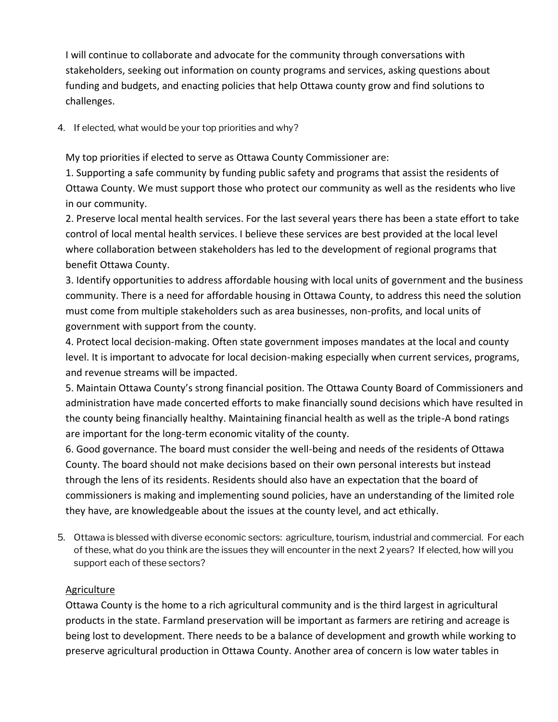I will continue to collaborate and advocate for the community through conversations with stakeholders, seeking out information on county programs and services, asking questions about funding and budgets, and enacting policies that help Ottawa county grow and find solutions to challenges.

4. If elected, what would be your top priorities and why?

My top priorities if elected to serve as Ottawa County Commissioner are:

1. Supporting a safe community by funding public safety and programs that assist the residents of Ottawa County. We must support those who protect our community as well as the residents who live in our community.

2. Preserve local mental health services. For the last several years there has been a state effort to take control of local mental health services. I believe these services are best provided at the local level where collaboration between stakeholders has led to the development of regional programs that benefit Ottawa County.

3. Identify opportunities to address affordable housing with local units of government and the business community. There is a need for affordable housing in Ottawa County, to address this need the solution must come from multiple stakeholders such as area businesses, non-profits, and local units of government with support from the county.

4. Protect local decision-making. Often state government imposes mandates at the local and county level. It is important to advocate for local decision-making especially when current services, programs, and revenue streams will be impacted.

5. Maintain Ottawa County's strong financial position. The Ottawa County Board of Commissioners and administration have made concerted efforts to make financially sound decisions which have resulted in the county being financially healthy. Maintaining financial health as well as the triple-A bond ratings are important for the long-term economic vitality of the county.

6. Good governance. The board must consider the well-being and needs of the residents of Ottawa County. The board should not make decisions based on their own personal interests but instead through the lens of its residents. Residents should also have an expectation that the board of commissioners is making and implementing sound policies, have an understanding of the limited role they have, are knowledgeable about the issues at the county level, and act ethically.

5. Ottawa is blessed with diverse economic sectors: agriculture, tourism, industrial and commercial. For each of these, what do you think are the issues they will encounter in the next 2 years? If elected, how will you support each of these sectors?

### Agriculture

Ottawa County is the home to a rich agricultural community and is the third largest in agricultural products in the state. Farmland preservation will be important as farmers are retiring and acreage is being lost to development. There needs to be a balance of development and growth while working to preserve agricultural production in Ottawa County. Another area of concern is low water tables in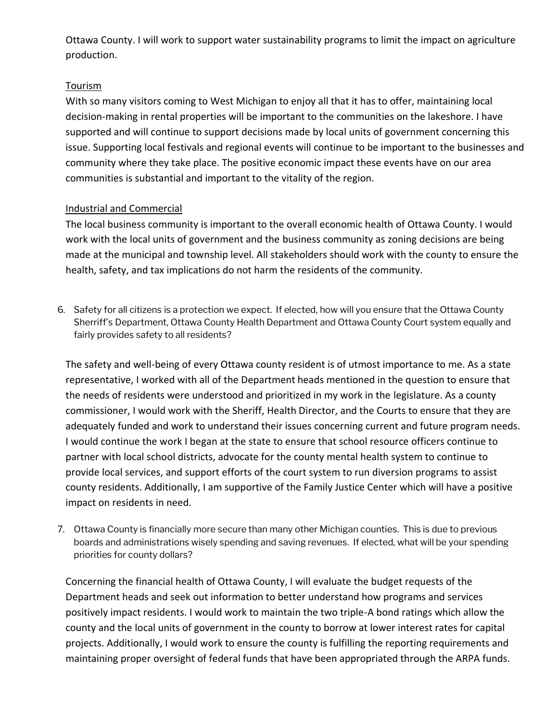Ottawa County. I will work to support water sustainability programs to limit the impact on agriculture production.

#### Tourism

With so many visitors coming to West Michigan to enjoy all that it has to offer, maintaining local decision-making in rental properties will be important to the communities on the lakeshore. I have supported and will continue to support decisions made by local units of government concerning this issue. Supporting local festivals and regional events will continue to be important to the businesses and community where they take place. The positive economic impact these events have on our area communities is substantial and important to the vitality of the region.

### Industrial and Commercial

The local business community is important to the overall economic health of Ottawa County. I would work with the local units of government and the business community as zoning decisions are being made at the municipal and township level. All stakeholders should work with the county to ensure the health, safety, and tax implications do not harm the residents of the community.

6. Safety for all citizens is a protection we expect. If elected, how will you ensure that the Ottawa County Sherriff's Department, Ottawa County Health Department and Ottawa County Court system equally and fairly provides safety to all residents?

The safety and well-being of every Ottawa county resident is of utmost importance to me. As a state representative, I worked with all of the Department heads mentioned in the question to ensure that the needs of residents were understood and prioritized in my work in the legislature. As a county commissioner, I would work with the Sheriff, Health Director, and the Courts to ensure that they are adequately funded and work to understand their issues concerning current and future program needs. I would continue the work I began at the state to ensure that school resource officers continue to partner with local school districts, advocate for the county mental health system to continue to provide local services, and support efforts of the court system to run diversion programs to assist county residents. Additionally, I am supportive of the Family Justice Center which will have a positive impact on residents in need.

7. Ottawa County is financially more secure than many other Michigan counties. This is due to previous boards and administrations wisely spending and saving revenues. If elected, what will be your spending priorities for county dollars?

Concerning the financial health of Ottawa County, I will evaluate the budget requests of the Department heads and seek out information to better understand how programs and services positively impact residents. I would work to maintain the two triple-A bond ratings which allow the county and the local units of government in the county to borrow at lower interest rates for capital projects. Additionally, I would work to ensure the county is fulfilling the reporting requirements and maintaining proper oversight of federal funds that have been appropriated through the ARPA funds.